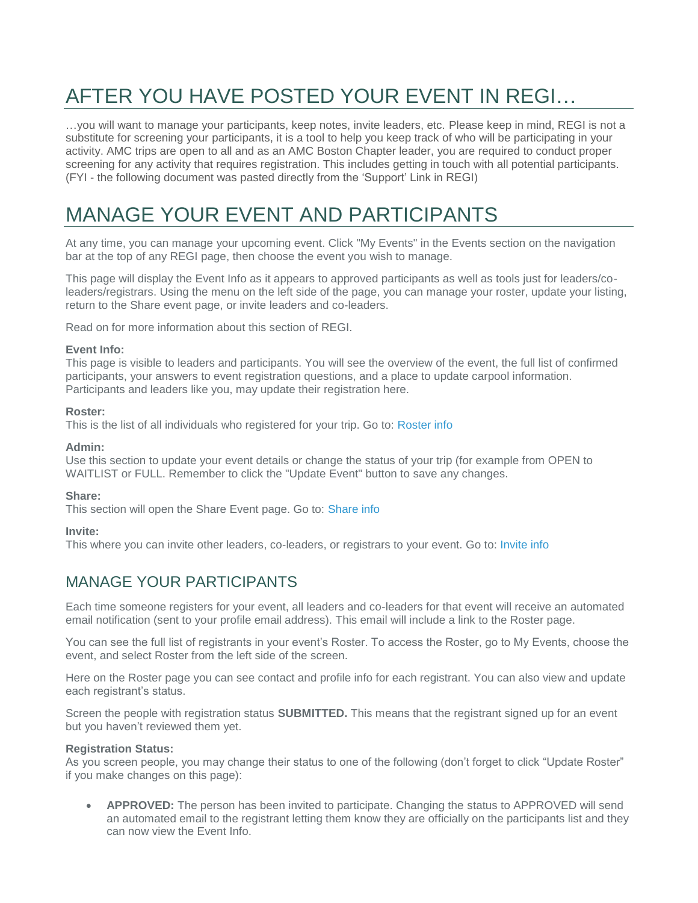# AFTER YOU HAVE POSTED YOUR EVENT IN REGI…

…you will want to manage your participants, keep notes, invite leaders, etc. Please keep in mind, REGI is not a substitute for screening your participants, it is a tool to help you keep track of who will be participating in your activity. AMC trips are open to all and as an AMC Boston Chapter leader, you are required to conduct proper screening for any activity that requires registration. This includes getting in touch with all potential participants. (FYI - the following document was pasted directly from the 'Support' Link in REGI)

## MANAGE YOUR EVENT AND PARTICIPANTS

At any time, you can manage your upcoming event. Click "My Events" in the Events section on the navigation bar at the top of any REGI page, then choose the event you wish to manage.

This page will display the Event Info as it appears to approved participants as well as tools just for leaders/coleaders/registrars. Using the menu on the left side of the page, you can manage your roster, update your listing, return to the Share event page, or invite leaders and co-leaders.

Read on for more information about this section of REGI.

#### **Event Info:**

This page is visible to leaders and participants. You will see the overview of the event, the full list of confirmed participants, your answers to event registration questions, and a place to update carpool information. Participants and leaders like you, may update their registration here.

#### **Roster:**

This is the list of all individuals who registered for your trip. Go to: [Roster info](https://regi.amcboston.org/support#manage-your-participants)

#### **Admin:**

Use this section to update your event details or change the status of your trip (for example from OPEN to WAITLIST or FULL. Remember to click the "Update Event" button to save any changes.

#### **Share:**

This section will open the Share Event page. Go to: [Share info](https://regi.amcboston.org/support#share-your-event)

#### **Invite:**

This where you can invite other leaders, co-leaders, or registrars to your event. Go to: [Invite info](https://regi.amcboston.org/support#add-other-leaders)

### MANAGE YOUR PARTICIPANTS

Each time someone registers for your event, all leaders and co-leaders for that event will receive an automated email notification (sent to your profile email address). This email will include a link to the Roster page.

You can see the full list of registrants in your event's Roster. To access the Roster, go to My Events, choose the event, and select Roster from the left side of the screen.

Here on the Roster page you can see contact and profile info for each registrant. You can also view and update each registrant's status.

Screen the people with registration status **SUBMITTED.** This means that the registrant signed up for an event but you haven't reviewed them yet.

#### **Registration Status:**

As you screen people, you may change their status to one of the following (don't forget to click "Update Roster" if you make changes on this page):

 **APPROVED:** The person has been invited to participate. Changing the status to APPROVED will send an automated email to the registrant letting them know they are officially on the participants list and they can now view the Event Info.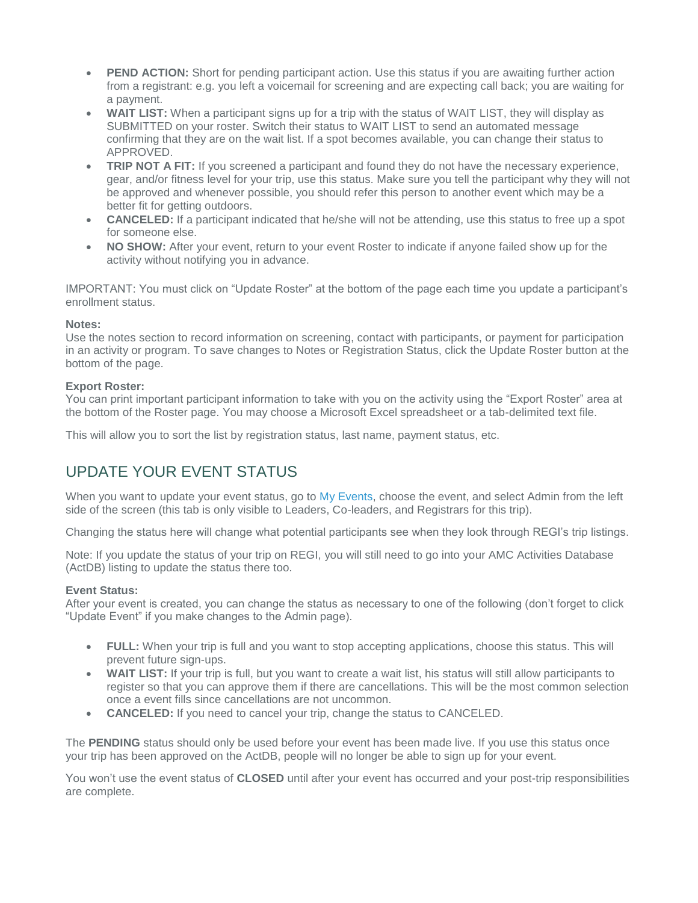- **PEND ACTION:** Short for pending participant action. Use this status if you are awaiting further action from a registrant: e.g. you left a voicemail for screening and are expecting call back; you are waiting for a payment.
- **WAIT LIST:** When a participant signs up for a trip with the status of WAIT LIST, they will display as SUBMITTED on your roster. Switch their status to WAIT LIST to send an automated message confirming that they are on the wait list. If a spot becomes available, you can change their status to APPROVED.
- **TRIP NOT A FIT:** If you screened a participant and found they do not have the necessary experience, gear, and/or fitness level for your trip, use this status. Make sure you tell the participant why they will not be approved and whenever possible, you should refer this person to another event which may be a better fit for getting outdoors.
- **CANCELED:** If a participant indicated that he/she will not be attending, use this status to free up a spot for someone else.
- **NO SHOW:** After your event, return to your event Roster to indicate if anyone failed show up for the activity without notifying you in advance.

IMPORTANT: You must click on "Update Roster" at the bottom of the page each time you update a participant's enrollment status.

#### **Notes:**

Use the notes section to record information on screening, contact with participants, or payment for participation in an activity or program. To save changes to Notes or Registration Status, click the Update Roster button at the bottom of the page.

#### **Export Roster:**

You can print important participant information to take with you on the activity using the "Export Roster" area at the bottom of the Roster page. You may choose a Microsoft Excel spreadsheet or a tab-delimited text file.

This will allow you to sort the list by registration status, last name, payment status, etc.

## UPDATE YOUR EVENT STATUS

When you want to update your event status, go to [My Events,](https://regi.amcboston.org/my_events) choose the event, and select Admin from the left side of the screen (this tab is only visible to Leaders, Co-leaders, and Registrars for this trip).

Changing the status here will change what potential participants see when they look through REGI's trip listings.

Note: If you update the status of your trip on REGI, you will still need to go into your AMC Activities Database (ActDB) listing to update the status there too.

#### **Event Status:**

After your event is created, you can change the status as necessary to one of the following (don't forget to click "Update Event" if you make changes to the Admin page).

- **FULL:** When your trip is full and you want to stop accepting applications, choose this status. This will prevent future sign-ups.
- **WAIT LIST:** If your trip is full, but you want to create a wait list, his status will still allow participants to register so that you can approve them if there are cancellations. This will be the most common selection once a event fills since cancellations are not uncommon.
- **CANCELED:** If you need to cancel your trip, change the status to CANCELED.

The **PENDING** status should only be used before your event has been made live. If you use this status once your trip has been approved on the ActDB, people will no longer be able to sign up for your event.

You won't use the event status of **CLOSED** until after your event has occurred and your post-trip responsibilities are complete.